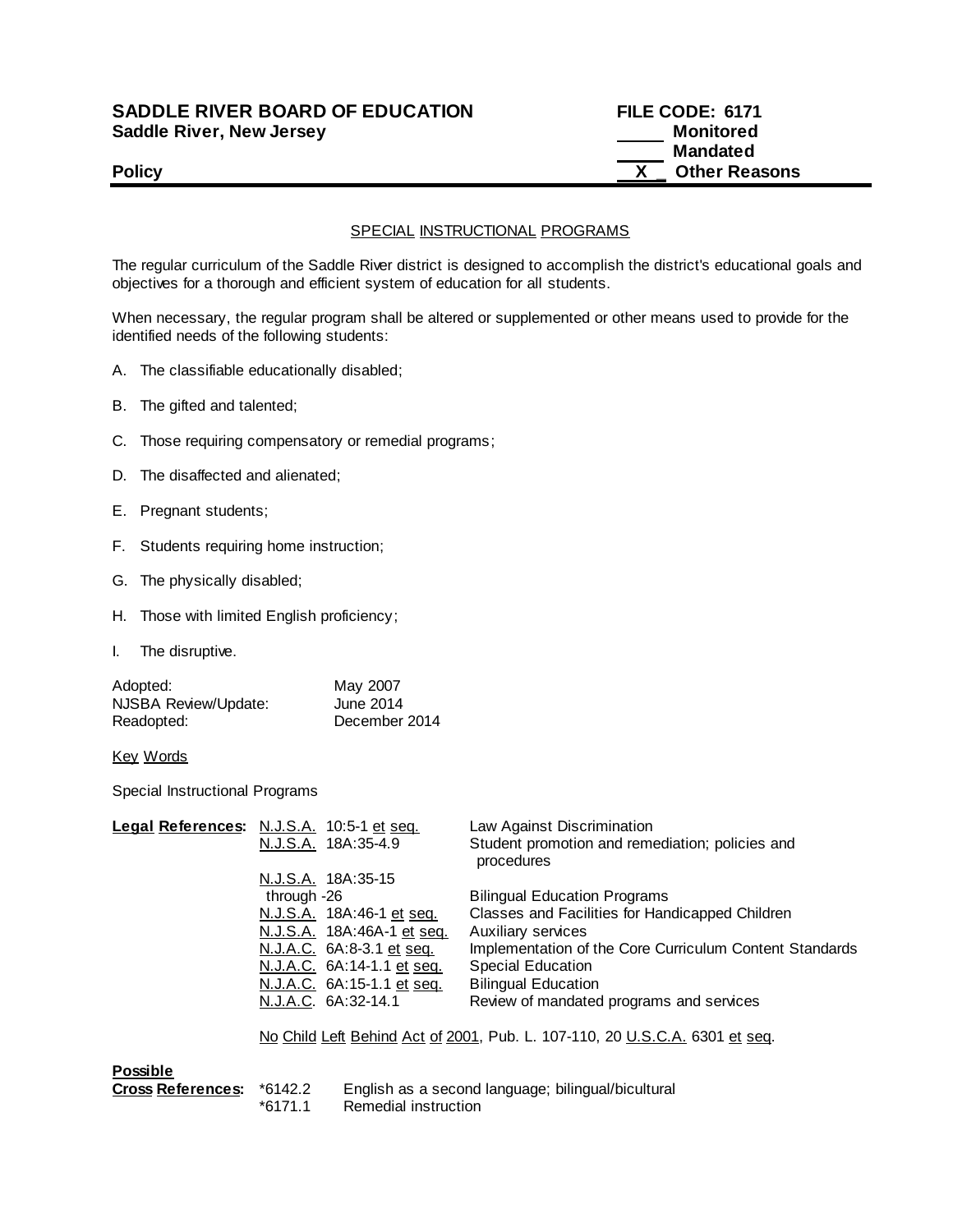## **SADDLE RIVER BOARD OF EDUCATION FILE CODE: 6171 Saddle River, New Jersey Monitored**

 **Mandated Policy Policy Policy COLLEGE** 

## SPECIAL INSTRUCTIONAL PROGRAMS

The regular curriculum of the Saddle River district is designed to accomplish the district's educational goals and objectives for a thorough and efficient system of education for all students.

When necessary, the regular program shall be altered or supplemented or other means used to provide for the identified needs of the following students:

- A. The classifiable educationally disabled;
- B. The gifted and talented;
- C. Those requiring compensatory or remedial programs;
- D. The disaffected and alienated;
- E. Pregnant students;
- F. Students requiring home instruction;
- G. The physically disabled;
- H. Those with limited English proficiency;
- I. The disruptive.

| Adopted:             | May 2007      |
|----------------------|---------------|
| NJSBA Review/Update: | June 2014     |
| Readopted:           | December 2014 |

Key Words

Special Instructional Programs

| Legal References: N.J.S.A. 10:5-1 et seq. |                                                                             |                            | Law Against Discrimination                                    |
|-------------------------------------------|-----------------------------------------------------------------------------|----------------------------|---------------------------------------------------------------|
|                                           |                                                                             | N.J.S.A. 18A:35-4.9        | Student promotion and remediation; policies and<br>procedures |
|                                           |                                                                             | N.J.S.A. 18A:35-15         |                                                               |
|                                           | through -26                                                                 |                            | <b>Bilingual Education Programs</b>                           |
|                                           |                                                                             | N.J.S.A. 18A:46-1 et seq.  | Classes and Facilities for Handicapped Children               |
|                                           |                                                                             | N.J.S.A. 18A:46A-1 et seq. | Auxiliary services                                            |
|                                           |                                                                             | N.J.A.C. 6A:8-3.1 et seq.  | Implementation of the Core Curriculum Content Standards       |
|                                           |                                                                             | N.J.A.C. 6A:14-1.1 et seq. | <b>Special Education</b>                                      |
|                                           |                                                                             | N.J.A.C. 6A:15-1.1 et seq. | <b>Bilingual Education</b>                                    |
|                                           |                                                                             | N.J.A.C. 6A:32-14.1        | Review of mandated programs and services                      |
|                                           | No Child Left Behind Act of 2001, Pub. L. 107-110, 20 U.S.C.A. 6301 et seq. |                            |                                                               |
| <b>Possible</b>                           |                                                                             |                            |                                                               |
| Cross References: *6142.2                 | $*6171.1$                                                                   | Remedial instruction       | English as a second language; bilingual/bicultural            |